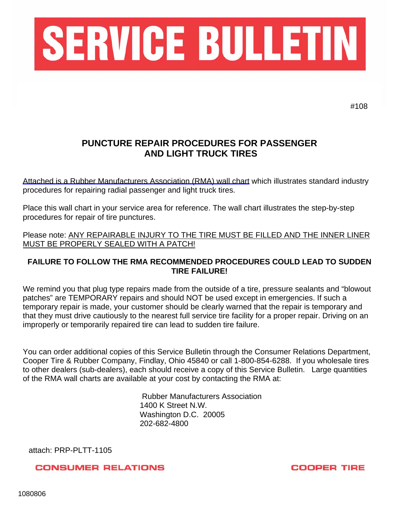

#108

## **PUNCTURE REPAIR PROCEDURES FOR PASSENGER AND LIGHT TRUCK TIRES**

[Attached is a Rubber Manufacturers Association \(RMA\) wall chart](http://www.rma.org/product/puncture-repair-procedures-for-passenger-and-light-truck-tires-wall-chart/) which illustrates standard industry procedures for repairing radial passenger and light truck tires.

Place this wall chart in your service area for reference. The wall chart illustrates the step-by-step procedures for repair of tire punctures.

Please note: ANY REPAIRABLE INJURY TO THE TIRE MUST BE FILLED AND THE INNER LINER MUST BE PROPERLY SEALED WITH A PATCH!

## **FAILURE TO FOLLOW THE RMA RECOMMENDED PROCEDURES COULD LEAD TO SUDDEN TIRE FAILURE!**

We remind you that plug type repairs made from the outside of a tire, pressure sealants and "blowout patches" are TEMPORARY repairs and should NOT be used except in emergencies. If such a temporary repair is made, your customer should be clearly warned that the repair is temporary and that they must drive cautiously to the nearest full service tire facility for a proper repair. Driving on an improperly or temporarily repaired tire can lead to sudden tire failure.

You can order additional copies of this Service Bulletin through the Consumer Relations Department, Cooper Tire & Rubber Company, Findlay, Ohio 45840 or call 1-800-854-6288. If you wholesale tires to other dealers (sub-dealers), each should receive a copy of this Service Bulletin. Large quantities of the RMA wall charts are available at your cost by contacting the RMA at:

> Rubber Manufacturers Association 1400 K Street N.W. Washington D.C. 20005 202-682-4800

attach: PRP-PLTT-1105

**CONSUMER RELATIONS** 

**COOPER TIRE**